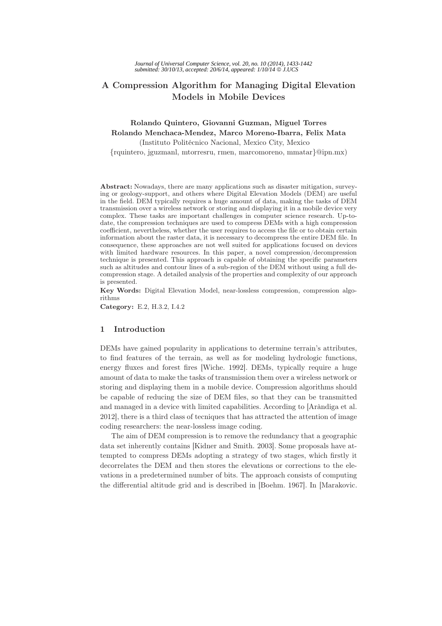# A Compression Algorithm for Managing Digital Elevation Models in Mobile Devices

# Rolando Quintero, Giovanni Guzman, Miguel Torres Rolando Menchaca-Mendez, Marco Moreno-Ibarra, Felix Mata

(Instituto Politécnico Nacional, Mexico City, Mexico

{rquintero, jguzmanl, mtorresru, rmen, marcomoreno, mmatar}@ipn.mx)

Abstract: Nowadays, there are many applications such as disaster mitigation, surveying or geology-support, and others where Digital Elevation Models (DEM) are useful in the field. DEM typically requires a huge amount of data, making the tasks of DEM transmission over a wireless network or storing and displaying it in a mobile device very complex. These tasks are important challenges in computer science research. Up-todate, the compression techniques are used to compress DEMs with a high compression coefficient, nevertheless, whether the user requires to access the file or to obtain certain information about the raster data, it is necessary to decompress the entire DEM file. In consequence, these approaches are not well suited for applications focused on devices with limited hardware resources. In this paper, a novel compression/decompression technique is presented. This approach is capable of obtaining the specific parameters such as altitudes and contour lines of a sub-region of the DEM without using a full decompression stage. A detailed analysis of the properties and complexity of our approach is presented.

Key Words: Digital Elevation Model, near-lossless compression, compression algorithms

Category: E.2, H.3.2, I.4.2

## 1 Introduction

DEMs have gained popularity in applications to determine terrain's attributes, to find features of the terrain, as well as for modeling hydrologic functions, energy fluxes and forest fires [Wiche. 1992]. DEMs, typically require a huge amount of data to make the tasks of transmission them over a wireless network or storing and displaying them in a mobile device. Compression algorithms should be capable of reducing the size of DEM files, so that they can be transmitted and managed in a device with limited capabilities. According to [Aràndiga et al. 2012], there is a third class of tecniques that has attracted the attention of image coding researchers: the near-lossless image coding.

The aim of DEM compression is to remove the redundancy that a geographic data set inherently contains [Kidner and Smith. 2003]. Some proposals have attempted to compress DEMs adopting a strategy of two stages, which firstly it decorrelates the DEM and then stores the elevations or corrections to the elevations in a predetermined number of bits. The approach consists of computing the differential altitude grid and is described in [Boehm. 1967]. In [Marakovic.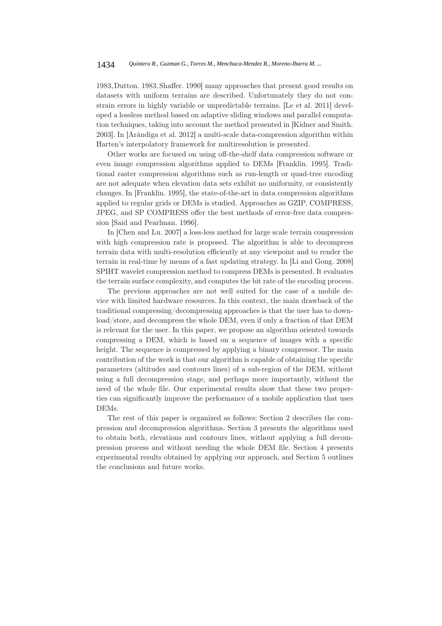1983,Dutton. 1983,Shaffer. 1990] many approaches that present good results on datasets with uniform terrains are described. Unfortunately they do not constrain errors in highly variable or unpredictable terrains. [Le et al. 2011] developed a lossless method based on adaptive sliding windows and parallel computation techniques, taking into account the method presented in [Kidner and Smith. 2003]. In [Aràndiga et al. 2012] a multi-scale data-compression algorithm within Harten's interpolatory framework for multiresolution is presented.

Other works are focused on using off-the-shelf data compression software or even image compression algorithms applied to DEMs [Franklin. 1995]. Traditional raster compression algorithms such as run-length or quad-tree encoding are not adequate when elevation data sets exhibit no uniformity, or consistently changes. In [Franklin. 1995], the state-of-the-art in data compression algorithms applied to regular grids or DEMs is studied. Approaches as GZIP, COMPRESS, JPEG, and SP COMPRESS offer the best methods of error-free data compression [Said and Pearlman. 1996].

In [Chen and Lu. 2007] a loss-less method for large scale terrain compression with high compression rate is proposed. The algorithm is able to decompress terrain data with multi-resolution efficiently at any viewpoint and to render the terrain in real-time by means of a fast updating strategy. In [Li and Gong. 2008] SPIHT wavelet compression method to compress DEMs is presented. It evaluates the terrain surface complexity, and computes the bit rate of the encoding process.

The previous approaches are not well suited for the case of a mobile device with limited hardware resources. In this context, the main drawback of the traditional compressing/decompressing approaches is that the user has to download/store, and decompress the whole DEM, even if only a fraction of that DEM is relevant for the user. In this paper, we propose an algorithm oriented towards compressing a DEM, which is based on a sequence of images with a specific height. The sequence is compressed by applying a binary compressor. The main contribution of the work is that our algorithm is capable of obtaining the specific parameters (altitudes and contours lines) of a sub-region of the DEM, without using a full decompression stage, and perhaps more importantly, without the need of the whole file. Our experimental results show that these two properties can significantly improve the performance of a mobile application that uses DEMs.

The rest of this paper is organized as follows: Section 2 describes the compression and decompression algorithms. Section 3 presents the algorithms used to obtain both, elevations and contours lines, without applying a full decompression process and without needing the whole DEM file. Section 4 presents experimental results obtained by applying our approach, and Section 5 outlines the conclusions and future works.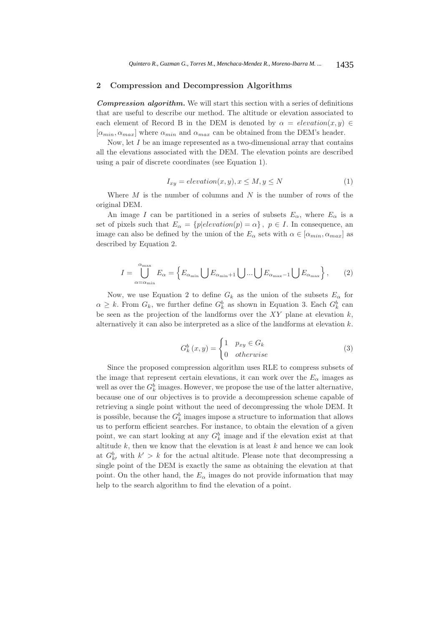### 2 Compression and Decompression Algorithms

*Compression algorithm.* We will start this section with a series of definitions that are useful to describe our method. The altitude or elevation associated to each element of Record B in the DEM is denoted by  $\alpha = elevation(x, y) \in$  $[\alpha_{min}, \alpha_{max}]$  where  $\alpha_{min}$  and  $\alpha_{max}$  can be obtained from the DEM's header.

Now, let  $I$  be an image represented as a two-dimensional array that contains all the elevations associated with the DEM. The elevation points are described using a pair of discrete coordinates (see Equation 1).

$$
I_{xy} = elevation(x, y), x \le M, y \le N
$$
\n<sup>(1)</sup>

Where  $M$  is the number of columns and  $N$  is the number of rows of the original DEM.

An image I can be partitioned in a series of subsets  $E_{\alpha}$ , where  $E_{\alpha}$  is a set of pixels such that  $E_{\alpha} = \{p|elevation(p) = \alpha\}, p \in I$ . In consequence, an image can also be defined by the union of the  $E_{\alpha}$  sets with  $\alpha \in [\alpha_{min}, \alpha_{max}]$  as described by Equation 2.

$$
I = \bigcup_{\alpha = \alpha_{\min}}^{\alpha_{\max}} E_{\alpha} = \left\{ E_{\alpha_{\min}} \bigcup E_{\alpha_{\min}+1} \bigcup \dots \bigcup E_{\alpha_{\max}-1} \bigcup E_{\alpha_{\max}} \right\},\qquad(2)
$$

Now, we use Equation 2 to define  $G_k$  as the union of the subsets  $E_\alpha$  for  $\alpha \geq k$ . From  $G_k$ , we further define  $G_k^b$  as shown in Equation 3. Each  $G_k^b$  can be seen as the projection of the landforms over the  $XY$  plane at elevation  $k$ , alternatively it can also be interpreted as a slice of the landforms at elevation k.

$$
G_k^b(x,y) = \begin{cases} 1 & p_{xy} \in G_k \\ 0 & otherwise \end{cases}
$$
 (3)

Since the proposed compression algorithm uses RLE to compress subsets of the image that represent certain elevations, it can work over the  $E_{\alpha}$  images as well as over the  $G_k^b$  images. However, we propose the use of the latter alternative, because one of our objectives is to provide a decompression scheme capable of retrieving a single point without the need of decompressing the whole DEM. It is possible, because the  $G_k^b$  images impose a structure to information that allows us to perform efficient searches. For instance, to obtain the elevation of a given point, we can start looking at any  $G_k^b$  image and if the elevation exist at that altitude  $k$ , then we know that the elevation is at least  $k$  and hence we can look at  $G_{kl}^b$  with  $k' > k$  for the actual altitude. Please note that decompressing a single point of the DEM is exactly the same as obtaining the elevation at that point. On the other hand, the  $E_{\alpha}$  images do not provide information that may help to the search algorithm to find the elevation of a point.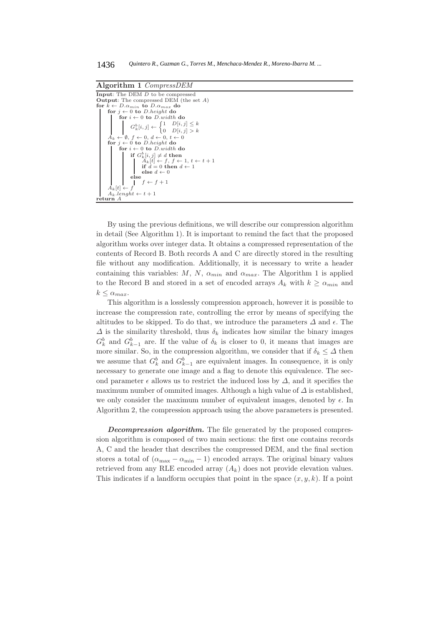

By using the previous definitions, we will describe our compression algorithm in detail (See Algorithm 1). It is important to remind the fact that the proposed algorithm works over integer data. It obtains a compressed representation of the contents of Record B. Both records A and C are directly stored in the resulting file without any modification. Additionally, it is necessary to write a header containing this variables: M, N,  $\alpha_{min}$  and  $\alpha_{max}$ . The Algorithm 1 is applied to the Record B and stored in a set of encoded arrays  $A_k$  with  $k \ge \alpha_{min}$  and  $k \leq \alpha_{max}.$ 

This algorithm is a losslessly compression approach, however it is possible to increase the compression rate, controlling the error by means of specifying the altitudes to be skipped. To do that, we introduce the parameters  $\Delta$  and  $\epsilon$ . The  $\Delta$  is the similarity threshold, thus  $\delta_k$  indicates how similar the binary images  $G_k^b$  and  $G_{k-1}^b$  are. If the value of  $\delta_k$  is closer to 0, it means that images are more similar. So, in the compression algorithm, we consider that if  $\delta_k \leq \Delta$  then we assume that  $G_k^b$  and  $G_{k-1}^b$  are equivalent images. In consequence, it is only necessary to generate one image and a flag to denote this equivalence. The second parameter  $\epsilon$  allows us to restrict the induced loss by  $\Delta$ , and it specifies the maximum number of ommited images. Although a high value of  $\Delta$  is established, we only consider the maximum number of equivalent images, denoted by  $\epsilon$ . In Algorithm 2, the compression approach using the above parameters is presented.

*Decompression algorithm.* The file generated by the proposed compression algorithm is composed of two main sections: the first one contains records A, C and the header that describes the compressed DEM, and the final section stores a total of  $(\alpha_{\text{max}} - \alpha_{\text{min}} - 1)$  encoded arrays. The original binary values retrieved from any RLE encoded array  $(A_k)$  does not provide elevation values. This indicates if a landform occupies that point in the space  $(x, y, k)$ . If a point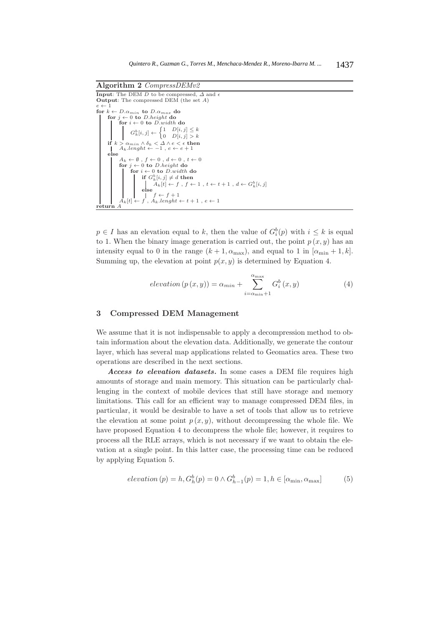

 $p \in I$  has an elevation equal to k, then the value of  $G_i^b(p)$  with  $i \leq k$  is equal to 1. When the binary image generation is carried out, the point  $p(x, y)$  has an intensity equal to 0 in the range  $(k+1, \alpha_{\text{max}})$ , and equal to 1 in  $[\alpha_{\text{min}}+1, k]$ . Summing up, the elevation at point  $p(x, y)$  is determined by Equation 4.

$$
elevation(p(x,y)) = \alpha_{min} + \sum_{i=\alpha_{min}+1}^{\alpha_{max}} G_i^b(x,y)
$$
 (4)

### 3 Compressed DEM Management

We assume that it is not indispensable to apply a decompression method to obtain information about the elevation data. Additionally, we generate the contour layer, which has several map applications related to Geomatics area. These two operations are described in the next sections.

*Access to elevation datasets.* In some cases a DEM file requires high amounts of storage and main memory. This situation can be particularly challenging in the context of mobile devices that still have storage and memory limitations. This call for an efficient way to manage compressed DEM files, in particular, it would be desirable to have a set of tools that allow us to retrieve the elevation at some point  $p(x, y)$ , without decompressing the whole file. We have proposed Equation 4 to decompress the whole file; however, it requires to process all the RLE arrays, which is not necessary if we want to obtain the elevation at a single point. In this latter case, the processing time can be reduced by applying Equation 5.

$$
elevation(p) = h, G_h^b(p) = 0 \land G_{h-1}^b(p) = 1, h \in [\alpha_{\min}, \alpha_{\max}]
$$
 (5)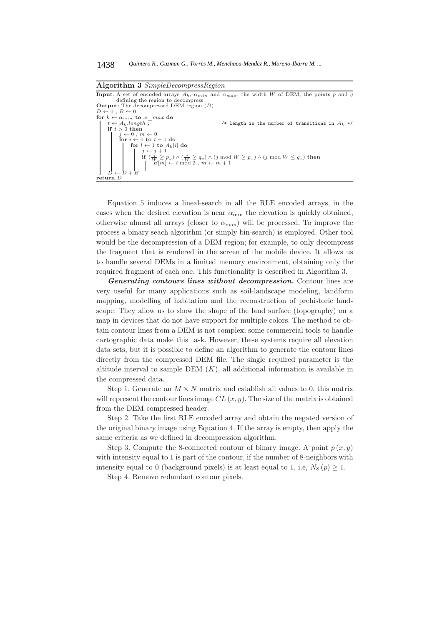Algorithm 3 *SimpleDecompressRegion* **Input:** A set of encoded arrays  $A_k$ ,  $\alpha_{min}$  and  $\alpha_{max}$ , the width W of DEM, the points p and q defining the region to decompress Output: The decompressed DEM region (D)  $D \leftarrow 0$ ,  $B \leftarrow 0$ for  $k \leftarrow \alpha_{min}$  to  $\alpha_{max}$  do<br>  $t \leftarrow A_k.length$ /\* length is the number of transitions in  $A_k$  \*/ if  $t > 0$  then  $j \leftarrow 0$ ,  $m \leftarrow 0$ <br>for  $i \leftarrow 0$  to  $t - 1$  do for  $l \leftarrow 1$  to  $A_k[i]$  do  $\begin{cases} j \leftarrow j + 1 \end{cases}$  $\begin{array}{c} \textbf{if} \ (\frac{j}{W} \geq p_y) \wedge (\frac{j}{W} \geq q_y) \wedge (j\text{ mod }W \geq p_x) \wedge (j\text{ mod }W \leq q_x) \textbf{ then} \\ \mid \ \ \text{ } \textit{ } B[m] \leftarrow i\text{ mod }2 \ , \ m \leftarrow m+1 \end{array}$  $\begin{array}{c} \n\mid & D \leftarrow D + B \\
\textbf{return} & D\n\end{array}$ 

Equation 5 induces a lineal-search in all the RLE encoded arrays, in the cases when the desired elevation is near  $\alpha_{\min}$  the elevation is quickly obtained, otherwise almost all arrays (closer to  $\alpha_{\text{max}}$ ) will be processed. To improve the process a binary seach algorithm (or simply bin-search) is employed. Other tool would be the decompression of a DEM region; for example, to only decompress the fragment that is rendered in the screen of the mobile device. It allows us to handle several DEMs in a limited memory environment, obtaining only the required fragment of each one. This functionality is described in Algorithm 3.

*Generating contours lines without decompression.* Contour lines are very useful for many applications such as soil-landscape modeling, landform mapping, modelling of habitation and the reconstruction of prehistoric landscape. They allow us to show the shape of the land surface (topography) on a map in devices that do not have support for multiple colors. The method to obtain contour lines from a DEM is not complex; some commercial tools to handle cartographic data make this task. However, these systems require all elevation data sets, but it is possible to define an algorithm to generate the contour lines directly from the compressed DEM file. The single required parameter is the altitude interval to sample DEM  $(K)$ , all additional information is available in the compressed data.

Step 1. Generate an  $M \times N$  matrix and establish all values to 0, this matrix will represent the contour lines image  $CL(x, y)$ . The size of the matrix is obtained from the DEM compressed header.

Step 2. Take the first RLE encoded array and obtain the negated version of the original binary image using Equation 4. If the array is empty, then apply the same criteria as we defined in decompression algorithm.

Step 3. Compute the 8-connected contour of binary image. A point  $p(x, y)$ with intensity equal to 1 is part of the contour, if the number of 8-neighbors with intensity equal to 0 (background pixels) is at least equal to 1, i.e,  $N_8(p) \geq 1$ .

Step 4. Remove redundant contour pixels.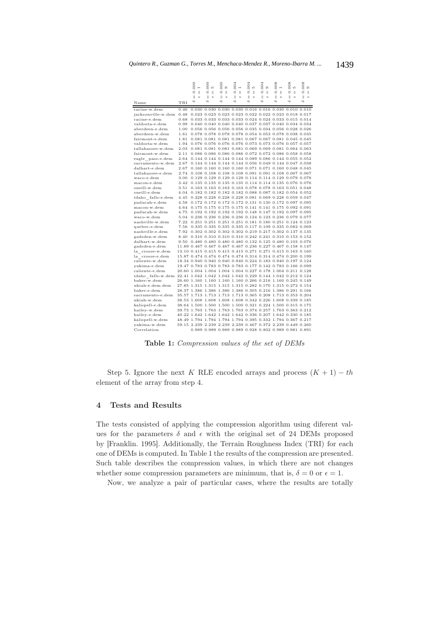|                                                                               |      | 000                                                         | 000                                                   | 000                    | 004                                 | 004                     | 004                          | 008                                                 | 008                      | 008                                |
|-------------------------------------------------------------------------------|------|-------------------------------------------------------------|-------------------------------------------------------|------------------------|-------------------------------------|-------------------------|------------------------------|-----------------------------------------------------|--------------------------|------------------------------------|
|                                                                               |      | $\overline{ }$<br>ö<br>$\parallel$                          | ŁO.<br>ö<br>$\mathbb{I}$                              | G<br>ö<br>$\mathbb{I}$ | $\overline{ }$<br>ö<br>$\mathbb{I}$ | ŁO.<br>ö<br>$\parallel$ | $\circ$<br>ö<br>$\mathbb{I}$ | $\overline{\phantom{a}}$<br>$\circ$<br>$\mathbb{I}$ | LO.<br>ö<br>$\mathbb{I}$ | $\circ$<br>$\circ$<br>$\mathbf{H}$ |
|                                                                               |      | $\parallel$<br>ω                                            | Ш<br>$\omega$                                         | $\mathsf{I}$<br>$\cup$ | Ш<br>$\mathbb U$                    | Ш<br>$\cup$             | $\mathsf{I}$<br>ω            | Ш<br>$\omega$                                       | $\parallel$<br>$\cup$    | Ш<br>$\mathsf{U}$                  |
| Name                                                                          | TRI  | ô                                                           | ô                                                     | s                      | ô                                   | s                       | ô                            | ô                                                   | s                        | ô                                  |
| racine-w.dem                                                                  | 0.46 |                                                             | 0.030 0.030 0.030 0.030 0.016 0.016 0.030 0.010 0.010 |                        |                                     |                         |                              |                                                     |                          |                                    |
| jacksonville-w.dem                                                            | 0.48 |                                                             | 0.023 0.023 0.023 0.023 0.022 0.022 0.023 0.018 0.017 |                        |                                     |                         |                              |                                                     |                          |                                    |
| racine-e.dem                                                                  | 0.68 |                                                             | 0.033 0.033 0.033 0.033 0.024 0.024 0.033 0.015 0.014 |                        |                                     |                         |                              |                                                     |                          |                                    |
| valdosta-e.dem                                                                | 0.99 |                                                             | 0.040 0.040 0.040 0.040 0.037 0.037 0.040 0.034 0.034 |                        |                                     |                         |                              |                                                     |                          |                                    |
| aberdeen-e.dem                                                                | 1.00 |                                                             | 0.056 0.056 0.056 0.056 0.035 0.034 0.056 0.028 0.026 |                        |                                     |                         |                              |                                                     |                          |                                    |
| aberdeen-w.dem                                                                | 1.61 |                                                             | 0.078 0.078 0.078 0.078 0.054 0.053 0.078 0.038 0.035 |                        |                                     |                         |                              |                                                     |                          |                                    |
| fairmont-e.dem                                                                | 1.81 |                                                             | 0.081 0.081 0.081 0.081 0.067 0.067 0.081 0.045 0.045 |                        |                                     |                         |                              |                                                     |                          |                                    |
| valdosta-w.dem                                                                | 1.94 |                                                             | 0.076 0.076 0.076 0.076 0.073 0.073 0.076 0.057 0.057 |                        |                                     |                         |                              |                                                     |                          |                                    |
| tallahassee-w.dem                                                             | 2.03 |                                                             | 0.081 0.081 0.081 0.081 0.069 0.069 0.081 0.064 0.063 |                        |                                     |                         |                              |                                                     |                          |                                    |
| fairmont-w.dem                                                                | 2.11 |                                                             | 0.086 0.086 0.086 0.086 0.072 0.072 0.086 0.058 0.058 |                        |                                     |                         |                              |                                                     |                          |                                    |
| eagle pass-e.dem                                                              | 2.64 |                                                             | 0.144 0.144 0.144 0.144 0.089 0.086 0.144 0.055 0.052 |                        |                                     |                         |                              |                                                     |                          |                                    |
| sacramento-w.dem                                                              | 2.67 |                                                             | 0.144 0.144 0.144 0.144 0.056 0.049 0.144 0.047 0.038 |                        |                                     |                         |                              |                                                     |                          |                                    |
| dalhart-e.dem                                                                 | 2.67 |                                                             | 0.160 0.160 0.160 0.160 0.071 0.071 0.160 0.048 0.045 |                        |                                     |                         |                              |                                                     |                          |                                    |
| tallahassee-e.dem                                                             | 2.74 |                                                             | 0.108 0.108 0.108 0.108 0.091 0.091 0.108 0.067 0.067 |                        |                                     |                         |                              |                                                     |                          |                                    |
| waco-e.dem                                                                    | 3.00 |                                                             | 0.129 0.129 0.129 0.129 0.114 0.114 0.129 0.079 0.078 |                        |                                     |                         |                              |                                                     |                          |                                    |
| macon-e.dem                                                                   | 3.42 |                                                             | 0.135 0.135 0.135 0.135 0.114 0.114 0.135 0.076 0.076 |                        |                                     |                         |                              |                                                     |                          |                                    |
| oneill-w.dem                                                                  | 3.51 |                                                             | 0.163 0.163 0.163 0.163 0.078 0.078 0.163 0.051 0.048 |                        |                                     |                         |                              |                                                     |                          |                                    |
| oneill-e.dem                                                                  | 4.04 |                                                             | 0.182 0.182 0.182 0.182 0.088 0.087 0.182 0.054 0.052 |                        |                                     |                         |                              |                                                     |                          |                                    |
| idaho falls-e.dem                                                             | 4.45 |                                                             | 0.228 0.228 0.228 0.228 0.081 0.069 0.228 0.059 0.047 |                        |                                     |                         |                              |                                                     |                          |                                    |
| paducah-e.dem                                                                 | 4.58 |                                                             | 0.172 0.172 0.172 0.172 0.131 0.130 0.172 0.097 0.095 |                        |                                     |                         |                              |                                                     |                          |                                    |
| macon-w.dem                                                                   | 4.64 |                                                             | 0.175 0.175 0.175 0.175 0.141 0.141 0.175 0.092 0.091 |                        |                                     |                         |                              |                                                     |                          |                                    |
| paducah-w.dem                                                                 | 4.75 |                                                             | 0.192 0.192 0.192 0.192 0.148 0.147 0.192 0.097 0.095 |                        |                                     |                         |                              |                                                     |                          |                                    |
| waco-w.dem                                                                    | 5.04 |                                                             | 0.236 0.236 0.236 0.236 0.124 0.123 0.236 0.079 0.077 |                        |                                     |                         |                              |                                                     |                          |                                    |
| nashville-w.dem                                                               | 7.22 |                                                             | 0.251 0.251 0.251 0.251 0.181 0.180 0.251 0.124 0.123 |                        |                                     |                         |                              |                                                     |                          |                                    |
| quebec-e.dem                                                                  | 7.56 |                                                             | 0.335 0.335 0.335 0.335 0.117 0.109 0.335 0.082 0.069 |                        |                                     |                         |                              |                                                     |                          |                                    |
| nashville-e.dem                                                               | 7.92 |                                                             | 0.302 0.302 0.302 0.302 0.219 0.217 0.302 0.137 0.135 |                        |                                     |                         |                              |                                                     |                          |                                    |
| gadsden-w.dem                                                                 | 8.40 |                                                             | 0.310 0.310 0.310 0.310 0.242 0.241 0.310 0.153 0.152 |                        |                                     |                         |                              |                                                     |                          |                                    |
| dalhart-w.dem                                                                 | 9.50 |                                                             | 0.480 0.480 0.480 0.480 0.132 0.125 0.480 0.103 0.076 |                        |                                     |                         |                              |                                                     |                          |                                    |
| gadsden-e.dem                                                                 |      | 11.89 0.467 0.467 0.467 0.467 0.236 0.227 0.467 0.158 0.147 |                                                       |                        |                                     |                         |                              |                                                     |                          |                                    |
| la crosse-w.dem                                                               |      | 13.10 0.415 0.415 0.415 0.415 0.271 0.271 0.415 0.163 0.160 |                                                       |                        |                                     |                         |                              |                                                     |                          |                                    |
| la crosse-e.dem                                                               |      | 15.87 0.474 0.474 0.474 0.474 0.314 0.314 0.474 0.200 0.199 |                                                       |                        |                                     |                         |                              |                                                     |                          |                                    |
| caliente-w.dem                                                                |      | 18.34 0.940 0.940 0.940 0.940 0.224 0.183 0.940 0.197 0.124 |                                                       |                        |                                     |                         |                              |                                                     |                          |                                    |
| yakima-e.dem                                                                  |      | 19.47 0.783 0.783 0.783 0.783 0.177 0.142 0.783 0.166 0.099 |                                                       |                        |                                     |                         |                              |                                                     |                          |                                    |
| caliente-e.dem                                                                |      | 20.60 1.004 1.004 1.004 1.004 0.227 0.178 1.004 0.211 0.128 |                                                       |                        |                                     |                         |                              |                                                     |                          |                                    |
| idaho falls-w.dem 22.41 1.042 1.042 1.042 1.042 0.229 0.144 1.042 0.212 0.124 |      |                                                             |                                                       |                        |                                     |                         |                              |                                                     |                          |                                    |
| baker-w.dem                                                                   |      | 26.60 1.160 1.160 1.160 1.160 0.266 0.216 1.160 0.245 0.149 |                                                       |                        |                                     |                         |                              |                                                     |                          |                                    |
| ukiah-e.dem.dem                                                               |      | 27.85 1.315 1.315 1.315 1.315 0.282 0.170 1.315 0.272 0.154 |                                                       |                        |                                     |                         |                              |                                                     |                          |                                    |
| baker-e.dem                                                                   |      | 28.37 1.386 1.386 1.386 1.386 0.305 0.216 1.386 0.291 0.166 |                                                       |                        |                                     |                         |                              |                                                     |                          |                                    |
| sacramento-e.dem                                                              |      | 35.57 1.713 1.713 1.713 1.713 0.365 0.208 1.713 0.353 0.204 |                                                       |                        |                                     |                         |                              |                                                     |                          |                                    |
| ukiah-w.dem                                                                   |      | 38.53 1.608 1.608 1.608 1.608 0.342 0.226 1.608 0.339 0.185 |                                                       |                        |                                     |                         |                              |                                                     |                          |                                    |
| kalispell-e.dem                                                               |      | 38.64 1.500 1.500 1.500 1.500 0.321 0.224 1.500 0.315 0.175 |                                                       |                        |                                     |                         |                              |                                                     |                          |                                    |
| hailey-w.dem                                                                  |      | 39.73 1.763 1.763 1.763 1.763 0.374 0.257 1.763 0.363 0.212 |                                                       |                        |                                     |                         |                              |                                                     |                          |                                    |
| hailey-e.dem                                                                  |      | 40.22 1.642 1.642 1.642 1.642 0.336 0.207 1.642 0.330 0.185 |                                                       |                        |                                     |                         |                              |                                                     |                          |                                    |
| kalispell-w.dem                                                               |      | 48.49 1.794 1.794 1.794 1.794 0.395 0.332 1.794 0.367 0.217 |                                                       |                        |                                     |                         |                              |                                                     |                          |                                    |
| yakima-w.dem                                                                  |      | 59.15 2.239 2.239 2.239 2.239 0.467 0.372 2.239 0.449 0.260 |                                                       |                        |                                     |                         |                              |                                                     |                          |                                    |
| Correlation                                                                   |      |                                                             | 0.989 0.989 0.989 0.989 0.928 0.802 0.989 0.981 0.891 |                        |                                     |                         |                              |                                                     |                          |                                    |

Table 1: *Compression values of the set of DEMs*

Step 5. Ignore the next K RLE encoded arrays and process  $(K + 1) - th$ element of the array from step 4.

## 4 Tests and Results

The tests consisted of applying the compression algorithm using diferent values for the parameters  $\delta$  and  $\epsilon$  with the original set of 24 DEMs proposed by [Franklin. 1995]. Additionally, the Terrain Roughness Index (TRI) for each one of DEMs is computed. In Table 1 the results of the compression are presented. Such table describes the compression values, in which there are not changes whether some compression parameters are minimum, that is,  $\delta = 0$  or  $\epsilon = 1$ .

Now, we analyze a pair of particular cases, where the results are totally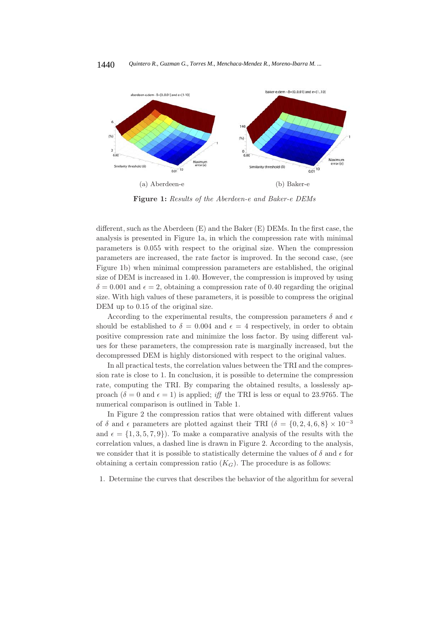

Figure 1: *Results of the Aberdeen-e and Baker-e DEMs*

different, such as the Aberdeen (E) and the Baker (E) DEMs. In the first case, the analysis is presented in Figure 1a, in which the compression rate with minimal parameters is 0.055 with respect to the original size. When the compression parameters are increased, the rate factor is improved. In the second case, (see Figure 1b) when minimal compression parameters are established, the original size of DEM is increased in 1.40. However, the compression is improved by using  $\delta = 0.001$  and  $\epsilon = 2$ , obtaining a compression rate of 0.40 regarding the original size. With high values of these parameters, it is possible to compress the original DEM up to  $0.15$  of the original size.

According to the experimental results, the compression parameters  $\delta$  and  $\epsilon$ should be established to  $\delta = 0.004$  and  $\epsilon = 4$  respectively, in order to obtain positive compression rate and minimize the loss factor. By using different values for these parameters, the compression rate is marginally increased, but the decompressed DEM is highly distorsioned with respect to the original values.

In all practical tests, the correlation values between the TRI and the compression rate is close to 1. In conclusion, it is possible to determine the compression rate, computing the TRI. By comparing the obtained results, a losslessly approach  $(\delta = 0 \text{ and } \epsilon = 1)$  is applied; *iff* the TRI is less or equal to 23.9765. The numerical comparison is outlined in Table 1.

In Figure 2 the compression ratios that were obtained with different values of  $\delta$  and  $\epsilon$  parameters are plotted against their TRI ( $\delta = \{0, 2, 4, 6, 8\} \times 10^{-3}$ and  $\epsilon = \{1, 3, 5, 7, 9\}$ . To make a comparative analysis of the results with the correlation values, a dashed line is drawn in Figure 2. According to the analysis, we consider that it is possible to statistically determine the values of  $\delta$  and  $\epsilon$  for obtaining a certain compression ratio  $(K_G)$ . The procedure is as follows:

1. Determine the curves that describes the behavior of the algorithm for several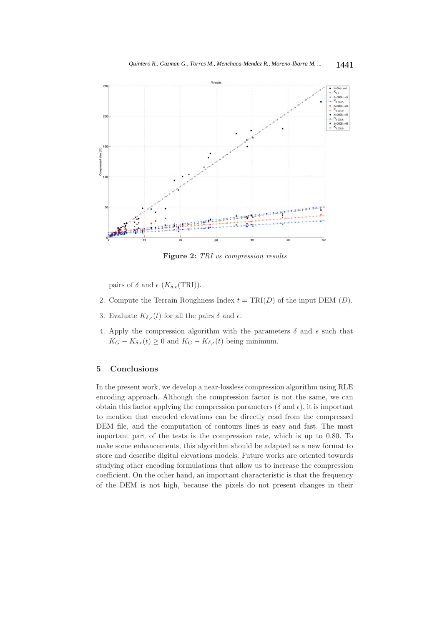

Figure 2: *TRI vs compression results*

pairs of  $\delta$  and  $\epsilon$  (K $_{\delta,\epsilon}$ (TRI)).

- 2. Compute the Terrain Roughness Index  $t = TRI(D)$  of the input DEM  $(D)$ .
- 3. Evaluate  $K_{\delta,\epsilon}(t)$  for all the pairs  $\delta$  and  $\epsilon$ .
- 4. Apply the compression algorithm with the parameters  $\delta$  and  $\epsilon$  such that  $K_G - K_{\delta,\epsilon}(t) \geq 0$  and  $K_G - K_{\delta,\epsilon}(t)$  being minimum.

#### 5 Conclusions

In the present work, we develop a near-lossless compression algorithm using RLE encoding approach. Although the compression factor is not the same, we can obtain this factor applying the compression parameters ( $\delta$  and  $\epsilon$ ), it is important to mention that encoded elevations can be directly read from the compressed DEM file, and the computation of contours lines is easy and fast. The most important part of the tests is the compression rate, which is up to 0.80. To make some enhancements, this algorithm should be adapted as a new format to store and describe digital elevations models. Future works are oriented towards studying other encoding formulations that allow us to increase the compression coefficient. On the other hand, an important characteristic is that the frequency of the DEM is not high, because the pixels do not present changes in their